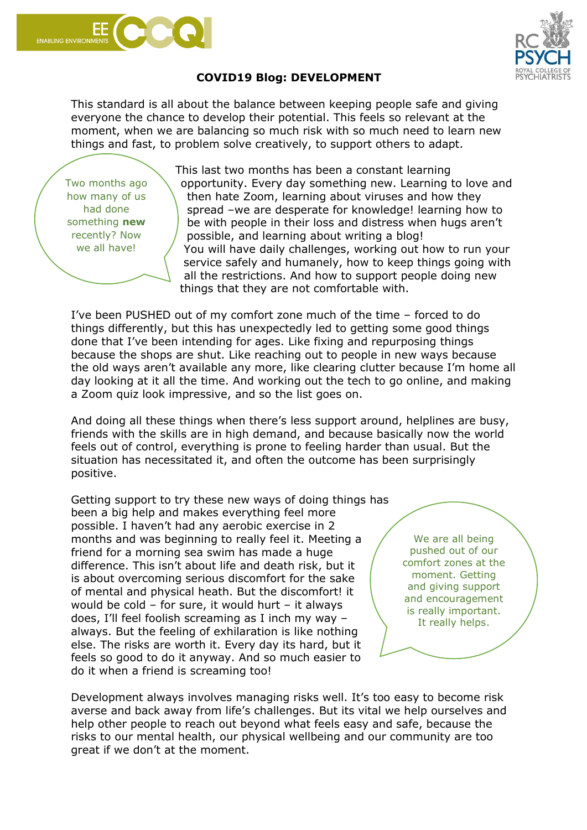



## **COVID19 Blog: DEVELOPMENT**

This standard is all about the balance between keeping people safe and giving everyone the chance to develop their potential. This feels so relevant at the moment, when we are balancing so much risk with so much need to learn new things and fast, to problem solve creatively, to support others to adapt.

Two months ago how many of us had done something **new** recently? Now we all have!

This last two months has been a constant learning opportunity. Every day something new. Learning to love and then hate Zoom, learning about viruses and how they spread –we are desperate for knowledge! learning how to be with people in their loss and distress when hugs aren't possible, and learning about writing a blog! You will have daily challenges, working out how to run your service safely and humanely, how to keep things going with all the restrictions. And how to support people doing new things that they are not comfortable with.

I've been PUSHED out of my comfort zone much of the time – forced to do things differently, but this has unexpectedly led to getting some good things done that I've been intending for ages. Like fixing and repurposing things because the shops are shut. Like reaching out to people in new ways because the old ways aren't available any more, like clearing clutter because I'm home all day looking at it all the time. And working out the tech to go online, and making a Zoom quiz look impressive, and so the list goes on.

And doing all these things when there's less support around, helplines are busy, friends with the skills are in high demand, and because basically now the world feels out of control, everything is prone to feeling harder than usual. But the situation has necessitated it, and often the outcome has been surprisingly positive.

Getting support to try these new ways of doing things has been a big help and makes everything feel more possible. I haven't had any aerobic exercise in 2 months and was beginning to really feel it. Meeting a friend for a morning sea swim has made a huge difference. This isn't about life and death risk, but it is about overcoming serious discomfort for the sake of mental and physical heath. But the discomfort! it would be cold – for sure, it would hurt – it always does, I'll feel foolish screaming as I inch my way – always. But the feeling of exhilaration is like nothing else. The risks are worth it. Every day its hard, but it feels so good to do it anyway. And so much easier to do it when a friend is screaming too!

We are all being pushed out of our comfort zones at the moment. Getting and giving support and encouragement is really important. It really helps.

Development always involves managing risks well. It's too easy to become risk averse and back away from life's challenges. But its vital we help ourselves and help other people to reach out beyond what feels easy and safe, because the risks to our mental health, our physical wellbeing and our community are too great if we don't at the moment.